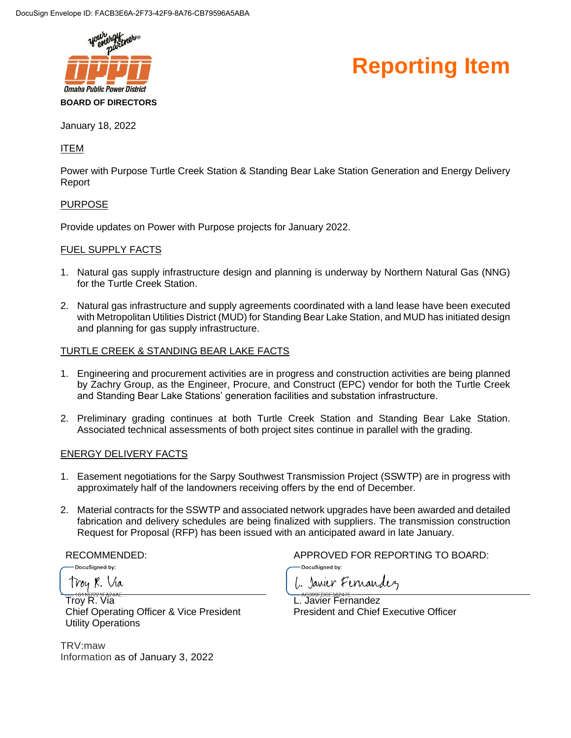



January 18, 2022

### ITEM

Power with Purpose Turtle Creek Station & Standing Bear Lake Station Generation and Energy Delivery Report

### PURPOSE

Provide updates on Power with Purpose projects for January 2022.

### FUEL SUPPLY FACTS

- 1. Natural gas supply infrastructure design and planning is underway by Northern Natural Gas (NNG) for the Turtle Creek Station.
- 2. Natural gas infrastructure and supply agreements coordinated with a land lease have been executed with Metropolitan Utilities District (MUD) for Standing Bear Lake Station, and MUD has initiated design and planning for gas supply infrastructure.

### TURTLE CREEK & STANDING BEAR LAKE FACTS

- 1. Engineering and procurement activities are in progress and construction activities are being planned by Zachry Group, as the Engineer, Procure, and Construct (EPC) vendor for both the Turtle Creek and Standing Bear Lake Stations' generation facilities and substation infrastructure.
- 2. Preliminary grading continues at both Turtle Creek Station and Standing Bear Lake Station. Associated technical assessments of both project sites continue in parallel with the grading.

#### ENERGY DELIVERY FACTS

- 1. Easement negotiations for the Sarpy Southwest Transmission Project (SSWTP) are in progress with approximately half of the landowners receiving offers by the end of December.
- 2. Material contracts for the SSWTP and associated network upgrades have been awarded and detailed fabrication and delivery schedules are being finalized with suppliers. The transmission construction Request for Proposal (RFP) has been issued with an anticipated award in late January.

-DocuSianed by:

Troy R. Via

Troy R. Via Chief Operating Officer & Vice President Utility Operations

TRV:maw Information as of January 3, 2022

RECOMMENDED:  $APPROVED$  FOR REPORTING TO BOARD:

1. Javier Fernandez

DocuSianed by:

L. Javier Fernandez President and Chief Executive Officer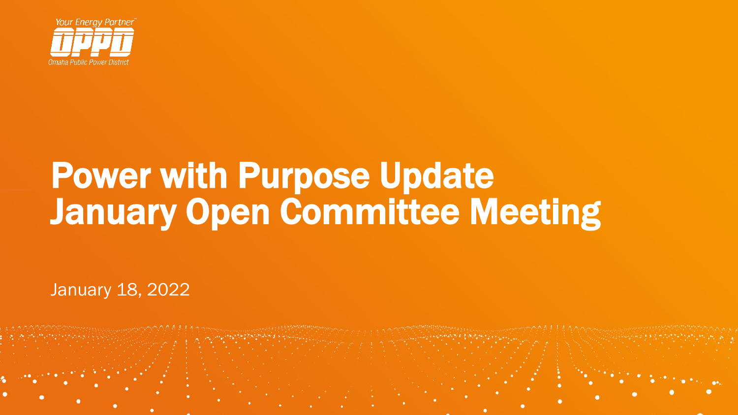

# Power with Purpose Update January Open Committee Meeting

January 18, 2022

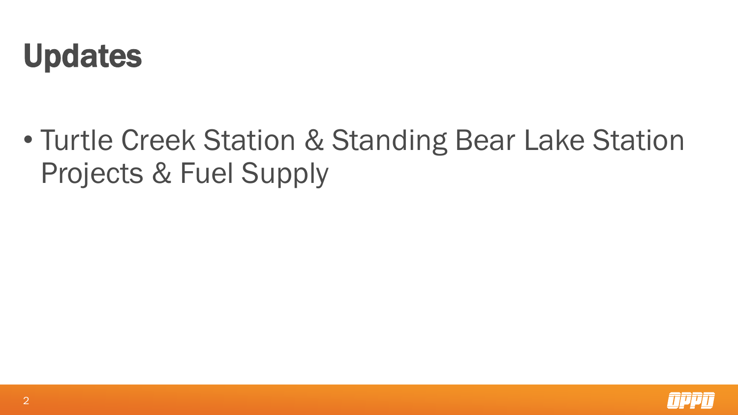## Updates

• Turtle Creek Station & Standing Bear Lake Station Projects & Fuel Supply

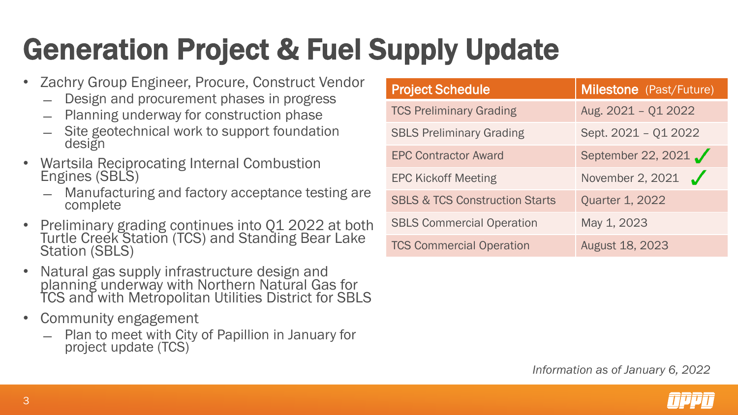## Generation Project & Fuel Supply Update

- Zachry Group Engineer, Procure, Construct Vendor
	- ̶ Design and procurement phases in progress
	- ̶ Planning underway for construction phase
	- ̶ Site geotechnical work to support foundation design
- Wartsila Reciprocating Internal Combustion Engines (SBLS)
	- Manufacturing and factory acceptance testing are complete
- Preliminary grading continues into Q1 2022 at both Turtle Creek Station (TCS) and Standing Bear Lake Station (SBLS)
- Natural gas supply infrastructure design and planning underway with Northern Natural Gas for TCS and with Metropolitan Utilities District for SBLS
- Community engagement
	- ̶ Plan to meet with City of Papillion in January for project update (TCS)

| <b>Project Schedule</b>                   | <b>Milestone</b> (Past/Future) |
|-------------------------------------------|--------------------------------|
| <b>TCS Preliminary Grading</b>            | Aug. 2021 - Q1 2022            |
| <b>SBLS Preliminary Grading</b>           | Sept. 2021 - Q1 2022           |
| <b>EPC Contractor Award</b>               | September 22, 2021             |
| <b>EPC Kickoff Meeting</b>                | November 2, 2021               |
| <b>SBLS &amp; TCS Construction Starts</b> | <b>Quarter 1, 2022</b>         |
| <b>SBLS Commercial Operation</b>          | May 1, 2023                    |
| <b>TCS Commercial Operation</b>           | <b>August 18, 2023</b>         |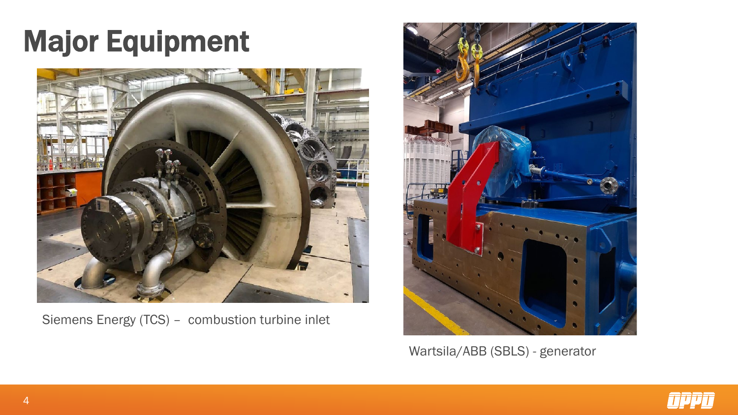# Major Equipment



Siemens Energy (TCS) – combustion turbine inlet



Wartsila/ABB (SBLS) - generator

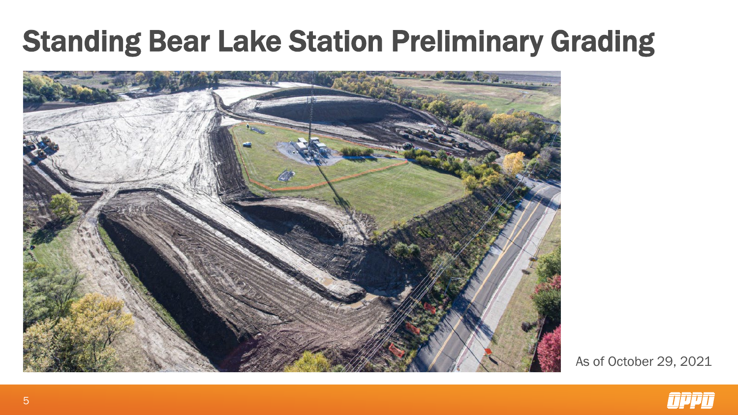### Standing Bear Lake Station Preliminary Grading



As of October 29, 2021